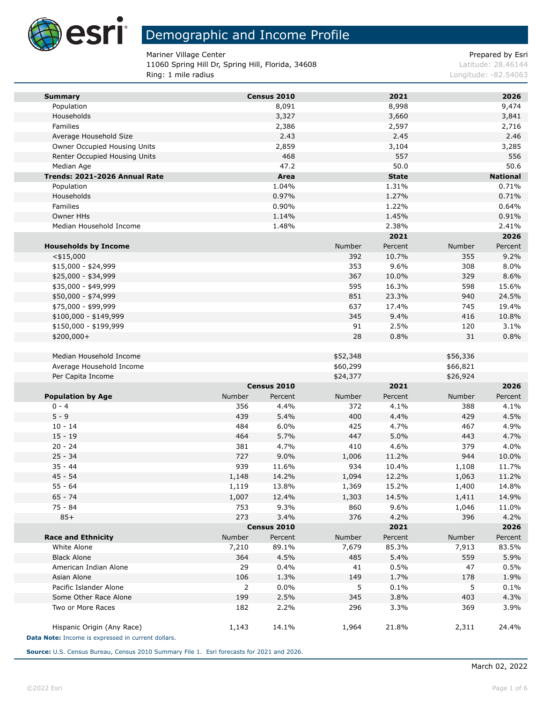

**Ta** 

## Demographic and Income Profile

Mariner Village Center **Prepared by Estimate 2** According to 2 According to 2 According to 2 According to 2 According to 2 According to 2 According to 2 According to 2 According to 2 According to 2 According to 2 According

11060 Spring Hill Dr, Spring Hill, Florida, 34608 Latitude: 28.46144 Ring: 1 mile radius **Ring: 1 mile radius** Longitude: -82.54063

| <b>Summary</b>                                                                   |                | Census 2010         |                | 2021           |                | 2026            |
|----------------------------------------------------------------------------------|----------------|---------------------|----------------|----------------|----------------|-----------------|
| Population                                                                       |                | 8,091               |                | 8,998          |                | 9,474           |
| Households                                                                       |                | 3,327               |                | 3,660          |                | 3,841           |
| Families                                                                         |                | 2,386               |                | 2,597          |                | 2,716           |
| Average Household Size                                                           |                | 2.43                |                | 2.45           |                | 2.46            |
| Owner Occupied Housing Units                                                     |                | 2,859               |                | 3,104          |                | 3,285           |
| Renter Occupied Housing Units                                                    |                | 468                 |                | 557            |                | 556             |
| Median Age                                                                       |                | 47.2                |                | 50.0           |                | 50.6            |
| Trends: 2021-2026 Annual Rate                                                    |                | Area                |                | <b>State</b>   |                | <b>National</b> |
| Population                                                                       |                | 1.04%               |                | 1.31%          |                | 0.71%           |
| Households                                                                       |                | 0.97%               |                | 1.27%          |                | 0.71%           |
| Families                                                                         |                | 0.90%               |                | 1.22%          |                | 0.64%           |
| Owner HHs<br>Median Household Income                                             |                | 1.14%<br>1.48%      |                | 1.45%<br>2.38% |                | 0.91%<br>2.41%  |
|                                                                                  |                |                     |                | 2021           |                | 2026            |
| <b>Households by Income</b>                                                      |                |                     | Number         | Percent        | Number         | Percent         |
| $<$ \$15,000                                                                     |                |                     | 392            | 10.7%          | 355            | 9.2%            |
| \$15,000 - \$24,999                                                              |                |                     | 353            | 9.6%           | 308            | 8.0%            |
| \$25,000 - \$34,999                                                              |                |                     | 367            | 10.0%          | 329            | 8.6%            |
| \$35,000 - \$49,999                                                              |                |                     | 595            | 16.3%          | 598            | 15.6%           |
| \$50,000 - \$74,999                                                              |                |                     | 851            | 23.3%          | 940            | 24.5%           |
| \$75,000 - \$99,999                                                              |                |                     | 637            | 17.4%          | 745            | 19.4%           |
| $$100,000 - $149,999$                                                            |                |                     | 345            | 9.4%           | 416            | 10.8%           |
| \$150,000 - \$199,999                                                            |                |                     | 91             | 2.5%           | 120            | 3.1%            |
| \$200,000+                                                                       |                |                     | 28             | 0.8%           | 31             | 0.8%            |
|                                                                                  |                |                     |                |                |                |                 |
| Median Household Income                                                          |                |                     | \$52,348       |                | \$56,336       |                 |
| Average Household Income                                                         |                |                     | \$60,299       |                | \$66,821       |                 |
| Per Capita Income                                                                |                |                     | \$24,377       |                | \$26,924       |                 |
|                                                                                  |                | Census 2010         |                | 2021           |                | 2026            |
| <b>Population by Age</b>                                                         | Number         | Percent             | Number         | Percent        | Number         | Percent         |
| $0 - 4$                                                                          | 356            | 4.4%                | 372            | 4.1%           | 388            | 4.1%            |
| $5 - 9$                                                                          | 439            | 5.4%                | 400            | 4.4%           | 429            | 4.5%            |
| $10 - 14$                                                                        | 484            | 6.0%                | 425            | 4.7%           | 467            | 4.9%            |
| $15 - 19$                                                                        | 464            | 5.7%                | 447            | 5.0%           | 443            | 4.7%            |
| $20 - 24$                                                                        | 381            | 4.7%                | 410            | 4.6%           | 379            | 4.0%            |
| $25 - 34$                                                                        | 727            | 9.0%                | 1,006          | 11.2%          | 944            | 10.0%           |
| $35 - 44$                                                                        | 939            | 11.6%               | 934            | 10.4%          | 1,108          | 11.7%           |
| $45 - 54$<br>$55 - 64$                                                           | 1,148          | 14.2%<br>13.8%      | 1,094<br>1,369 | 12.2%<br>15.2% | 1,063<br>1,400 | 11.2%<br>14.8%  |
|                                                                                  | 1,119          |                     |                |                |                |                 |
| $65 - 74$<br>75 - 84                                                             | 1,007<br>753   | 12.4%<br>9.3%       | 1,303<br>860   | 14.5%<br>9.6%  | 1,411          | 14.9%<br>11.0%  |
| $85+$                                                                            | 273            |                     | 376            |                | 1,046<br>396   |                 |
|                                                                                  |                | 3.4%<br>Census 2010 |                | 4.2%<br>2021   |                | 4.2%<br>2026    |
| <b>Race and Ethnicity</b>                                                        | Number         | Percent             | Number         | Percent        | Number         | Percent         |
| White Alone                                                                      | 7,210          | 89.1%               | 7,679          | 85.3%          | 7,913          | 83.5%           |
| <b>Black Alone</b>                                                               | 364            | 4.5%                | 485            | 5.4%           | 559            | 5.9%            |
| American Indian Alone                                                            | 29             | 0.4%                | 41             | 0.5%           | 47             | 0.5%            |
| Asian Alone                                                                      | 106            | 1.3%                | 149            | 1.7%           | 178            | 1.9%            |
| Pacific Islander Alone                                                           | $\overline{2}$ | 0.0%                | 5              | 0.1%           | 5              | 0.1%            |
| Some Other Race Alone                                                            | 199            | 2.5%                | 345            | 3.8%           | 403            | 4.3%            |
| Two or More Races                                                                | 182            | 2.2%                | 296            | 3.3%           | 369            | 3.9%            |
|                                                                                  |                |                     |                |                |                |                 |
| Hispanic Origin (Any Race)<br>Data Note: Income is expressed in current dollars. | 1,143          | 14.1%               | 1,964          | 21.8%          | 2,311          | 24.4%           |

**Source:** U.S. Census Bureau, Census 2010 Summary File 1. Esri forecasts for 2021 and 2026.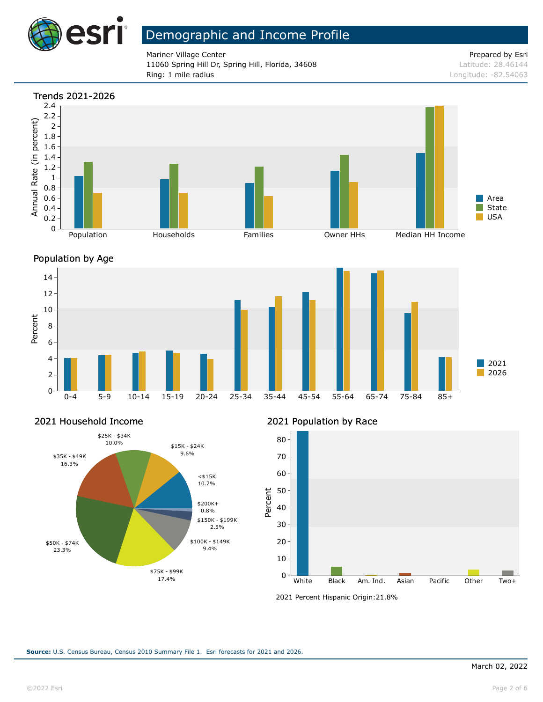

Mariner Village Center Prepared by Esri 11060 Spring Hill Dr, Spring Hill, Florida, 34608 Latitude: 28.46144 Ring: 1 mile radius Longitude: -82.54063







#### 2021 Household Income



### 2021 Population by Race



<sup>2021</sup> Percent Hispanic Origin: 21.8%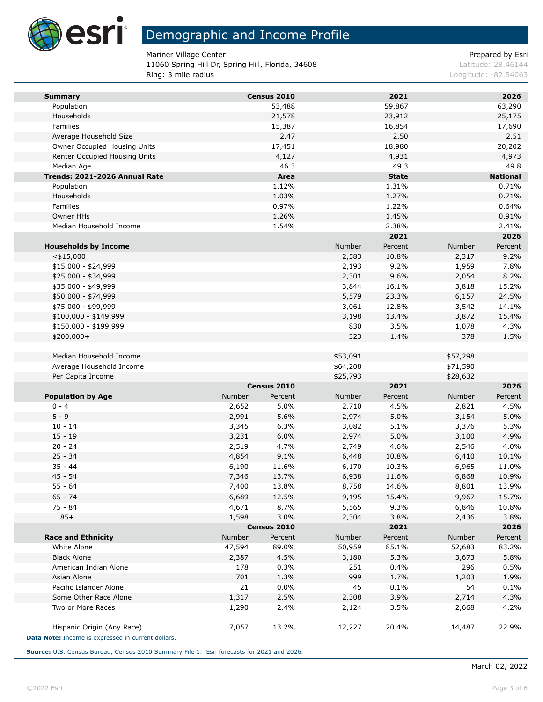

Mariner Village Center **Prepared by Estimate 2** According to 2 According to 2 According to 2 According to 2 According to 2 According to 2 According to 2 According to 2 According to 2 According to 2 According to 2 According

11060 Spring Hill Dr, Spring Hill, Florida, 34608 Latitude: 28.46144 Ring: 3 mile radius **Ring: 3 mile radius** Longitude: -82.54063

| <b>Summary</b>                                     |        | Census 2010 |          | 2021         |          | 2026            |
|----------------------------------------------------|--------|-------------|----------|--------------|----------|-----------------|
| Population                                         |        | 53,488      |          | 59,867       |          | 63,290          |
| Households                                         |        | 21,578      |          | 23,912       |          | 25,175          |
| Families                                           |        | 15,387      |          | 16,854       |          | 17,690          |
| Average Household Size                             |        | 2.47        |          | 2.50         |          | 2.51            |
| Owner Occupied Housing Units                       |        | 17,451      |          | 18,980       |          | 20,202          |
| Renter Occupied Housing Units                      |        | 4,127       |          | 4,931        |          | 4,973           |
| Median Age                                         |        | 46.3        |          | 49.3         |          | 49.8            |
| Trends: 2021-2026 Annual Rate                      |        | Area        |          | <b>State</b> |          | <b>National</b> |
| Population                                         |        | 1.12%       |          | 1.31%        |          | 0.71%           |
| Households                                         |        | 1.03%       |          | 1.27%        |          | 0.71%           |
| Families                                           |        | 0.97%       |          | 1.22%        |          | 0.64%           |
| Owner HHs                                          |        | 1.26%       |          | 1.45%        |          | 0.91%           |
| Median Household Income                            |        | 1.54%       |          | 2.38%        |          | 2.41%           |
|                                                    |        |             |          | 2021         |          | 2026            |
| <b>Households by Income</b>                        |        |             | Number   | Percent      | Number   | Percent         |
| $<$ \$15,000                                       |        |             | 2,583    | 10.8%        | 2,317    | 9.2%            |
| $$15,000 - $24,999$                                |        |             | 2,193    | 9.2%         | 1,959    | 7.8%            |
| \$25,000 - \$34,999                                |        |             | 2,301    | 9.6%         | 2,054    | 8.2%            |
| \$35,000 - \$49,999                                |        |             | 3,844    | 16.1%        | 3,818    | 15.2%           |
| \$50,000 - \$74,999                                |        |             | 5,579    | 23.3%        | 6,157    | 24.5%           |
| \$75,000 - \$99,999                                |        |             | 3,061    | 12.8%        | 3,542    | 14.1%           |
| \$100,000 - \$149,999                              |        |             | 3,198    | 13.4%        | 3,872    | 15.4%           |
| \$150,000 - \$199,999                              |        |             | 830      | 3.5%         | 1,078    | 4.3%            |
| $$200,000+$                                        |        |             | 323      | 1.4%         | 378      | 1.5%            |
| Median Household Income                            |        |             | \$53,091 |              | \$57,298 |                 |
| Average Household Income                           |        |             | \$64,208 |              | \$71,590 |                 |
| Per Capita Income                                  |        |             | \$25,793 |              | \$28,632 |                 |
|                                                    |        | Census 2010 |          | 2021         |          | 2026            |
| <b>Population by Age</b>                           | Number | Percent     | Number   | Percent      | Number   | Percent         |
| $0 - 4$                                            | 2,652  | 5.0%        | 2,710    | 4.5%         | 2,821    | 4.5%            |
| $5 - 9$                                            | 2,991  | 5.6%        | 2,974    | 5.0%         | 3,154    | 5.0%            |
| $10 - 14$                                          | 3,345  | 6.3%        | 3,082    | 5.1%         | 3,376    | 5.3%            |
| $15 - 19$                                          | 3,231  | 6.0%        | 2,974    | 5.0%         | 3,100    | 4.9%            |
| $20 - 24$                                          | 2,519  | 4.7%        | 2,749    | 4.6%         | 2,546    | 4.0%            |
| $25 - 34$                                          | 4,854  | 9.1%        | 6,448    | 10.8%        | 6,410    | 10.1%           |
| $35 - 44$                                          | 6,190  | 11.6%       | 6,170    | 10.3%        | 6,965    | 11.0%           |
| $45 - 54$                                          | 7,346  | 13.7%       | 6,938    | 11.6%        | 6,868    | 10.9%           |
| $55 - 64$                                          | 7,400  | 13.8%       | 8,758    | 14.6%        | 8,801    | 13.9%           |
| $65 - 74$                                          | 6,689  | 12.5%       | 9,195    | 15.4%        | 9,967    | 15.7%           |
| 75 - 84                                            | 4,671  | 8.7%        | 5,565    | 9.3%         | 6,846    | 10.8%           |
| $85+$                                              | 1,598  | 3.0%        | 2,304    | 3.8%         | 2,436    | 3.8%            |
|                                                    |        | Census 2010 |          | 2021         |          | 2026            |
| <b>Race and Ethnicity</b>                          | Number | Percent     | Number   | Percent      | Number   | Percent         |
| White Alone                                        | 47,594 | 89.0%       | 50,959   | 85.1%        | 52,683   | 83.2%           |
| <b>Black Alone</b>                                 | 2,387  | 4.5%        | 3,180    | 5.3%         | 3,673    | 5.8%            |
| American Indian Alone                              | 178    | 0.3%        | 251      | 0.4%         | 296      | 0.5%            |
| Asian Alone                                        | 701    | 1.3%        | 999      | 1.7%         | 1,203    | 1.9%            |
| Pacific Islander Alone                             | 21     | 0.0%        | 45       | 0.1%         | 54       | 0.1%            |
| Some Other Race Alone                              | 1,317  | 2.5%        | 2,308    | 3.9%         | 2,714    | 4.3%            |
| Two or More Races                                  | 1,290  | 2.4%        | 2,124    | 3.5%         | 2,668    | 4.2%            |
| Hispanic Origin (Any Race)                         | 7,057  | 13.2%       | 12,227   | 20.4%        | 14,487   | 22.9%           |
| Data Note: Income is expressed in current dollars. |        |             |          |              |          |                 |

**Source:** U.S. Census Bureau, Census 2010 Summary File 1. Esri forecasts for 2021 and 2026.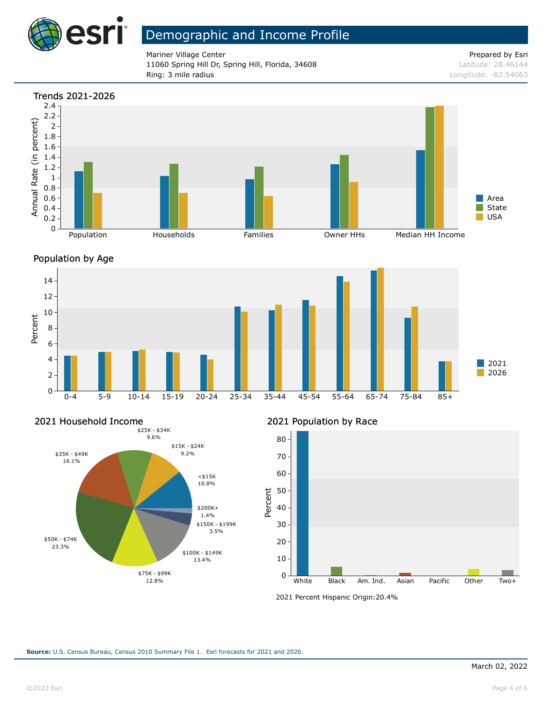

Mariner Village Center Prepared by Esri 11060 Spring Hill Dr, Spring Hill, Florida, 34608 Latitude: 28.46144 Ring: 3 mile radius Longitude: -82.54063







#### 2021 Household Income



#### 2021 Population by Race



<sup>2021</sup> Percent Hispanic Origin: 20.4%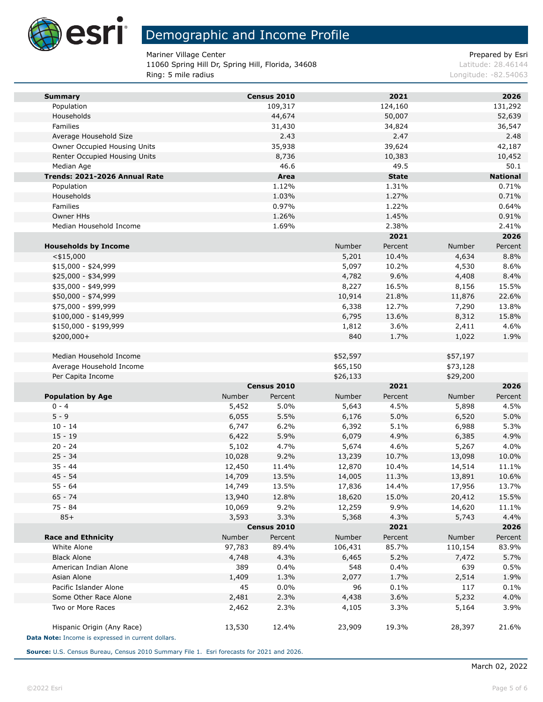

Mariner Village Center **Prepared by Estimate 2** According to 2 According to 2 According to 2 According to 2 According to 2 According to 2 According to 2 According to 2 According to 2 According to 2 According to 2 According

11060 Spring Hill Dr, Spring Hill, Florida, 34608 Latitude: 28.46144 Ring: 5 mile radius **Ring: 5 mile radius** Longitude: -82.54063

| <b>Summary</b>                                     |        | Census 2010 |          | 2021         |          | 2026            |
|----------------------------------------------------|--------|-------------|----------|--------------|----------|-----------------|
| Population                                         |        | 109,317     |          | 124,160      |          | 131,292         |
| Households                                         |        | 44,674      |          | 50,007       |          | 52,639          |
| Families                                           |        | 31,430      |          | 34,824       |          | 36,547          |
| Average Household Size                             |        | 2.43        |          | 2.47         |          | 2.48            |
| Owner Occupied Housing Units                       |        | 35,938      |          | 39,624       |          | 42,187          |
| Renter Occupied Housing Units                      |        | 8,736       |          | 10,383       |          | 10,452          |
| Median Age                                         |        | 46.6        |          | 49.5         |          | 50.1            |
| Trends: 2021-2026 Annual Rate                      |        | Area        |          | <b>State</b> |          | <b>National</b> |
| Population                                         |        | 1.12%       |          | 1.31%        |          | 0.71%           |
| Households                                         |        | 1.03%       |          | 1.27%        |          | 0.71%           |
| Families                                           |        | 0.97%       |          | 1.22%        |          | 0.64%           |
| Owner HHs                                          |        | 1.26%       |          | 1.45%        |          | 0.91%           |
| Median Household Income                            |        | 1.69%       |          | 2.38%        |          | 2.41%           |
|                                                    |        |             |          | 2021         |          | 2026            |
| <b>Households by Income</b>                        |        |             | Number   | Percent      | Number   | Percent         |
| $<$ \$15,000                                       |        |             | 5,201    | 10.4%        | 4,634    | 8.8%            |
| $$15,000 - $24,999$                                |        |             | 5,097    | 10.2%        | 4,530    | 8.6%            |
| \$25,000 - \$34,999                                |        |             | 4,782    | 9.6%         | 4,408    | 8.4%            |
| \$35,000 - \$49,999                                |        |             | 8,227    | 16.5%        | 8,156    | 15.5%           |
| \$50,000 - \$74,999                                |        |             | 10,914   | 21.8%        | 11,876   | 22.6%           |
| \$75,000 - \$99,999                                |        |             | 6,338    | 12.7%        | 7,290    | 13.8%           |
| $$100,000 - $149,999$                              |        |             | 6,795    | 13.6%        | 8,312    | 15.8%           |
| \$150,000 - \$199,999                              |        |             | 1,812    | 3.6%         | 2,411    | 4.6%            |
| \$200,000+                                         |        |             | 840      | 1.7%         | 1,022    | 1.9%            |
|                                                    |        |             |          |              |          |                 |
| Median Household Income                            |        |             | \$52,597 |              | \$57,197 |                 |
| Average Household Income                           |        |             | \$65,150 |              | \$73,128 |                 |
| Per Capita Income                                  |        |             | \$26,133 |              | \$29,200 |                 |
|                                                    |        | Census 2010 |          | 2021         |          | 2026            |
| <b>Population by Age</b>                           | Number | Percent     | Number   | Percent      | Number   | Percent         |
| $0 - 4$                                            | 5,452  | 5.0%        | 5,643    | 4.5%         | 5,898    | 4.5%            |
| $5 - 9$                                            | 6,055  | 5.5%        | 6,176    | 5.0%         | 6,520    | 5.0%            |
| $10 - 14$                                          | 6,747  | 6.2%        | 6,392    | 5.1%         | 6,988    | 5.3%            |
| $15 - 19$                                          | 6,422  | 5.9%        | 6,079    | 4.9%         | 6,385    | 4.9%            |
| $20 - 24$                                          | 5,102  | 4.7%        | 5,674    | 4.6%         | 5,267    | 4.0%            |
| $25 - 34$                                          | 10,028 | 9.2%        | 13,239   | 10.7%        | 13,098   | 10.0%           |
| $35 - 44$                                          | 12,450 | 11.4%       | 12,870   | 10.4%        | 14,514   | 11.1%           |
| $45 - 54$                                          | 14,709 | 13.5%       | 14,005   | 11.3%        | 13,891   | 10.6%           |
| $55 - 64$                                          | 14,749 | 13.5%       | 17,836   | 14.4%        | 17,956   | 13.7%           |
| 65 - 74                                            | 13,940 | 12.8%       | 18,620   | 15.0%        | 20,412   | 15.5%           |
| 75 - 84                                            | 10,069 | 9.2%        | 12,259   | 9.9%         | 14,620   | 11.1%           |
| $85+$                                              | 3,593  | 3.3%        | 5,368    | 4.3%         | 5,743    | 4.4%            |
|                                                    |        | Census 2010 |          | 2021         |          | 2026            |
| <b>Race and Ethnicity</b>                          | Number | Percent     | Number   | Percent      | Number   | Percent         |
| White Alone                                        | 97,783 | 89.4%       | 106,431  | 85.7%        | 110,154  | 83.9%           |
| <b>Black Alone</b>                                 | 4,748  | 4.3%        | 6,465    | 5.2%         | 7,472    | 5.7%            |
| American Indian Alone                              | 389    | 0.4%        | 548      | 0.4%         | 639      | 0.5%            |
| Asian Alone                                        | 1,409  | 1.3%        | 2,077    | 1.7%         | 2,514    | 1.9%            |
| Pacific Islander Alone                             | 45     | 0.0%        | 96       | 0.1%         | 117      | 0.1%            |
| Some Other Race Alone                              | 2,481  | 2.3%        | 4,438    | 3.6%         | 5,232    | 4.0%            |
| Two or More Races                                  | 2,462  | 2.3%        | 4,105    | 3.3%         | 5,164    | 3.9%            |
|                                                    |        |             |          |              |          |                 |
| Hispanic Origin (Any Race)                         | 13,530 | 12.4%       | 23,909   | 19.3%        | 28,397   | 21.6%           |
| Data Note: Income is expressed in current dollars. |        |             |          |              |          |                 |

**Source:** U.S. Census Bureau, Census 2010 Summary File 1. Esri forecasts for 2021 and 2026.